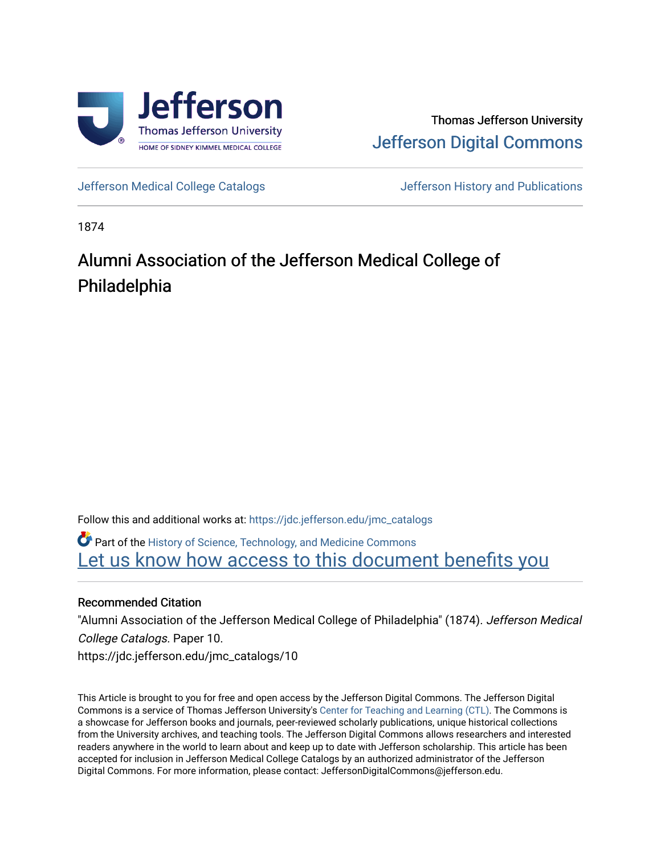

## Thomas Jefferson University [Jefferson Digital Commons](https://jdc.jefferson.edu/)

[Jefferson Medical College Catalogs](https://jdc.jefferson.edu/jmc_catalogs) [Jefferson History and Publications](https://jdc.jefferson.edu/jeffersonhistory) 

1874

# Alumni Association of the Jefferson Medical College of Philadelphia

Follow this and additional works at: [https://jdc.jefferson.edu/jmc\\_catalogs](https://jdc.jefferson.edu/jmc_catalogs?utm_source=jdc.jefferson.edu%2Fjmc_catalogs%2F10&utm_medium=PDF&utm_campaign=PDFCoverPages) 

Part of the [History of Science, Technology, and Medicine Commons](http://network.bepress.com/hgg/discipline/500?utm_source=jdc.jefferson.edu%2Fjmc_catalogs%2F10&utm_medium=PDF&utm_campaign=PDFCoverPages)  Let us know how access to this document benefits you

#### Recommended Citation

"Alumni Association of the Jefferson Medical College of Philadelphia" (1874). Jefferson Medical College Catalogs. Paper 10. https://jdc.jefferson.edu/jmc\_catalogs/10

This Article is brought to you for free and open access by the Jefferson Digital Commons. The Jefferson Digital Commons is a service of Thomas Jefferson University's [Center for Teaching and Learning \(CTL\)](http://www.jefferson.edu/university/teaching-learning.html/). The Commons is a showcase for Jefferson books and journals, peer-reviewed scholarly publications, unique historical collections from the University archives, and teaching tools. The Jefferson Digital Commons allows researchers and interested readers anywhere in the world to learn about and keep up to date with Jefferson scholarship. This article has been accepted for inclusion in Jefferson Medical College Catalogs by an authorized administrator of the Jefferson Digital Commons. For more information, please contact: JeffersonDigitalCommons@jefferson.edu.